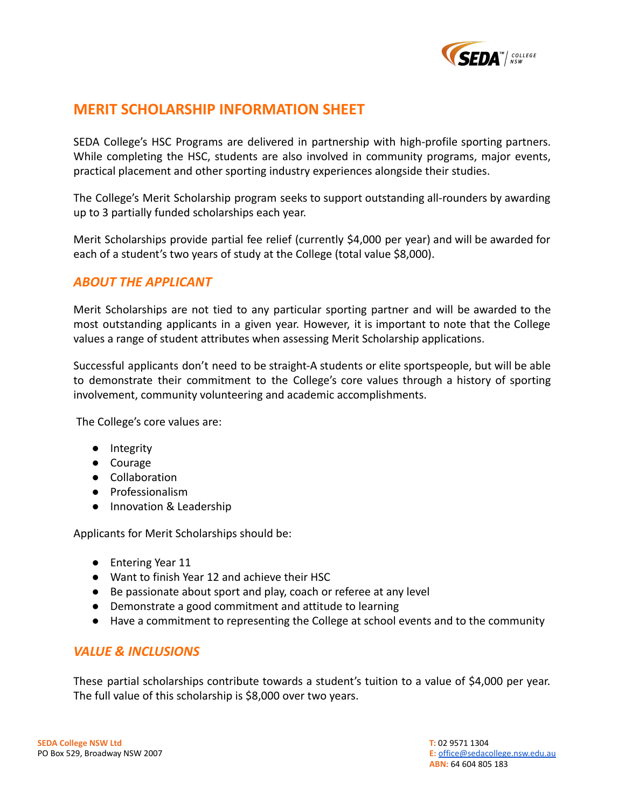

# **MERIT SCHOLARSHIP INFORMATION SHEET**

SEDA College's HSC Programs are delivered in partnership with high-profile sporting partners. While completing the HSC, students are also involved in community programs, major events, practical placement and other sporting industry experiences alongside their studies.

The College's Merit Scholarship program seeks to support outstanding all-rounders by awarding up to 3 partially funded scholarships each year.

Merit Scholarships provide partial fee relief (currently \$4,000 per year) and will be awarded for each of a student's two years of study at the College (total value \$8,000).

## *ABOUT THE APPLICANT*

Merit Scholarships are not tied to any particular sporting partner and will be awarded to the most outstanding applicants in a given year. However, it is important to note that the College values a range of student attributes when assessing Merit Scholarship applications.

Successful applicants don't need to be straight-A students or elite sportspeople, but will be able to demonstrate their commitment to the College's core values through a history of sporting involvement, community volunteering and academic accomplishments.

The College's core values are:

- Integrity
- Courage
- Collaboration
- Professionalism
- Innovation & Leadership

Applicants for Merit Scholarships should be:

- Entering Year 11
- Want to finish Year 12 and achieve their HSC
- Be passionate about sport and play, coach or referee at any level
- Demonstrate a good commitment and attitude to learning
- Have a commitment to representing the College at school events and to the community

## *VALUE & INCLUSIONS*

These partial scholarships contribute towards a student's tuition to a value of \$4,000 per year. The full value of this scholarship is \$8,000 over two years.